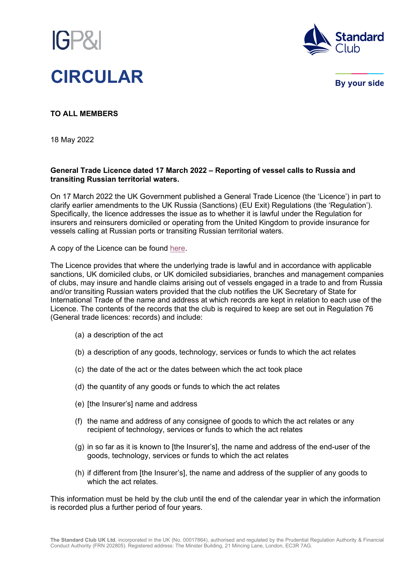



By your side

**TO ALL MEMBERS**

18 May 2022

## **General Trade Licence dated 17 March 2022 – Reporting of vessel calls to Russia and transiting Russian territorial waters.**

On 17 March 2022 the UK Government published a General Trade Licence (the 'Licence') in part to clarify earlier amendments to the UK Russia (Sanctions) (EU Exit) Regulations (the 'Regulation'). Specifically, the licence addresses the issue as to whether it is lawful under the Regulation for insurers and reinsurers domiciled or operating from the United Kingdom to provide insurance for vessels calling at Russian ports or transiting Russian territorial waters.

A copy of the Licence can be found [here.](https://assets.publishing.service.gov.uk/government/uploads/system/uploads/attachment_data/file/1067674/general-trade-licence-russia-sanctions-vessels.pdf)

The Licence provides that where the underlying trade is lawful and in accordance with applicable sanctions, UK domiciled clubs, or UK domiciled subsidiaries, branches and management companies of clubs, may insure and handle claims arising out of vessels engaged in a trade to and from Russia and/or transiting Russian waters provided that the club notifies the UK Secretary of State for International Trade of the name and address at which records are kept in relation to each use of the Licence. The contents of the records that the club is required to keep are set out in Regulation 76 (General trade licences: records) and include:

- (a) a description of the act
- (b) a description of any goods, technology, services or funds to which the act relates
- (c) the date of the act or the dates between which the act took place
- (d) the quantity of any goods or funds to which the act relates
- (e) [the Insurer's] name and address
- (f) the name and address of any consignee of goods to which the act relates or any recipient of technology, services or funds to which the act relates
- (g) in so far as it is known to [the Insurer's], the name and address of the end-user of the goods, technology, services or funds to which the act relates
- (h) if different from [the Insurer's], the name and address of the supplier of any goods to which the act relates.

This information must be held by the club until the end of the calendar year in which the information is recorded plus a further period of four years.